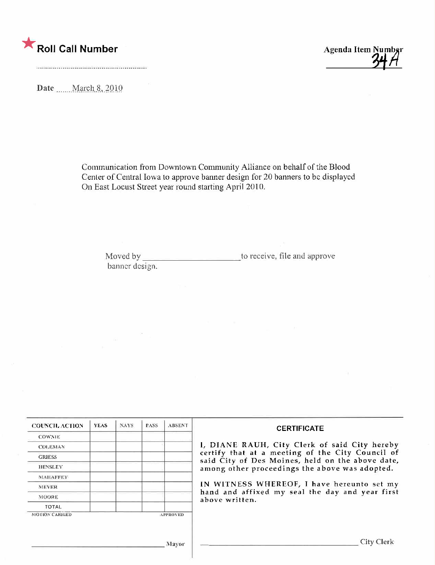

Date .......March 8, 2010

Communication from Downtown Community Alliance on behalf of the Blood Center of Central Iowa to approve banner design for 20 banners to be displayed On East Locust Street year round starting April 2010.

Moved by banner design. to receive, file and approve

| <b>COUNCIL ACTION</b> | <b>YEAS</b> | <b>NAYS</b> | <b>PASS</b> | <b>ABSENT</b>   | <b>CERTIFICATE</b>                                                                                                                                    |  |  |
|-----------------------|-------------|-------------|-------------|-----------------|-------------------------------------------------------------------------------------------------------------------------------------------------------|--|--|
| <b>COWNIE</b>         |             |             |             |                 |                                                                                                                                                       |  |  |
| <b>COLEMAN</b>        |             |             |             |                 | 1, DIANE RAUH, City Clerk of said City hereby<br>certify that at a meeting of the City Council of<br>said City of Des Moines, held on the above date, |  |  |
| <b>GRIESS</b>         |             |             |             |                 |                                                                                                                                                       |  |  |
| <b>HENSLEY</b>        |             |             |             |                 | among other proceedings the above was adopted.<br>IN WITNESS WHEREOF, I have hereunto set my                                                          |  |  |
| <b>MAHAFFEY</b>       |             |             |             |                 |                                                                                                                                                       |  |  |
| <b>MEYER</b>          |             |             |             |                 |                                                                                                                                                       |  |  |
| <b>MOORE</b>          |             |             |             |                 | hand and affixed my seal the day and year first<br>above written.                                                                                     |  |  |
| <b>TOTAL</b>          |             |             |             |                 |                                                                                                                                                       |  |  |
| <b>MOTION CARRIED</b> |             |             |             | <b>APPROVED</b> |                                                                                                                                                       |  |  |
|                       |             |             |             | Mayor           | City Clerk                                                                                                                                            |  |  |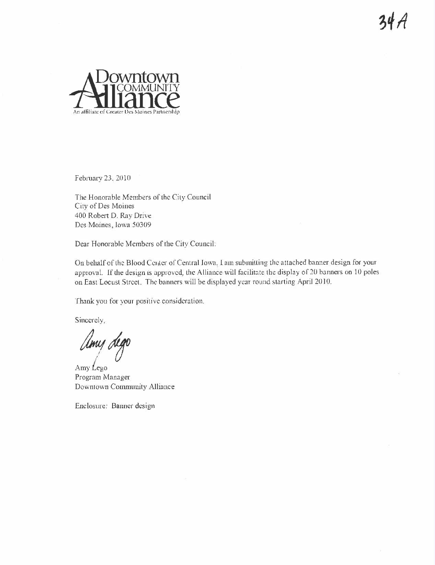

February 23, 2010

The Honorable Members of the City Council City of Des Moines 400 Robert D. Ray Drive Des Moines, lowa 50309

Dear Honorable Members of the City Council:

On behalf of the Blood Center of Central Iowa, I am submitting the attached banner design for your approval. If the design is approved, the Alliance will facilitate the display of 20 banners on 10 poles on East Locust Street. The banners will be displayed year round starting April 2010.

Thank you for your positive consideration.

Sincerely.

Umy dego

Amy Lego Program Manager Downtown Community Alliance

Enclosure: Banner design